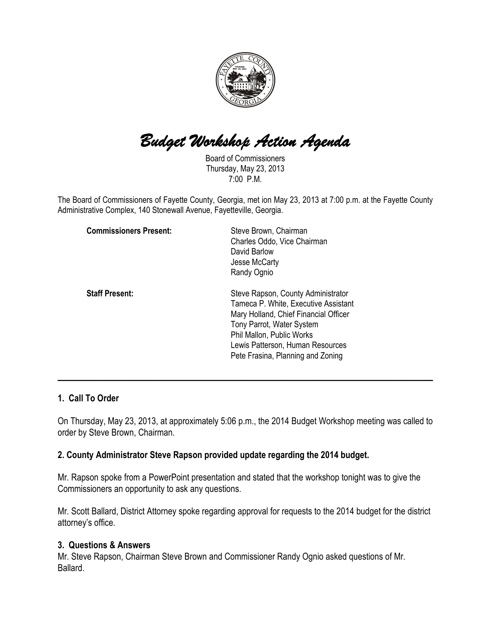

# Budget Workshop Action Agenda

Board of Commissioners Thursday, May 23, 2013 7:00 P.M.

The Board of Commissioners of Fayette County, Georgia, met ion May 23, 2013 at 7:00 p.m. at the Fayette County Administrative Complex, 140 Stonewall Avenue, Fayetteville, Georgia.

| <b>Commissioners Present:</b> | Steve Brown, Chairman<br>Charles Oddo, Vice Chairman<br>David Barlow<br>Jesse McCarty<br>Randy Ognio                                                                                                                                                   |
|-------------------------------|--------------------------------------------------------------------------------------------------------------------------------------------------------------------------------------------------------------------------------------------------------|
| <b>Staff Present:</b>         | Steve Rapson, County Administrator<br>Tameca P. White, Executive Assistant<br>Mary Holland, Chief Financial Officer<br>Tony Parrot, Water System<br>Phil Mallon, Public Works<br>Lewis Patterson, Human Resources<br>Pete Frasina, Planning and Zoning |

#### 1. Call To Order

On Thursday, May 23, 2013, at approximately 5:06 p.m., the 2014 Budget Workshop meeting was called to order by Steve Brown, Chairman.

 $\overline{\phantom{a}}$  , and the contribution of the contribution of the contribution of the contribution of the contribution of the contribution of the contribution of the contribution of the contribution of the contribution of the

#### 2. County Administrator Steve Rapson provided update regarding the 2014 budget.

Mr. Rapson spoke from a PowerPoint presentation and stated that the workshop tonight was to give the Commissioners an opportunity to ask any questions.

Mr. Scott Ballard, District Attorney spoke regarding approval for requests to the 2014 budget for the district attorney's office.

#### 3. Questions & Answers

Mr. Steve Rapson, Chairman Steve Brown and Commissioner Randy Ognio asked questions of Mr. Ballard.